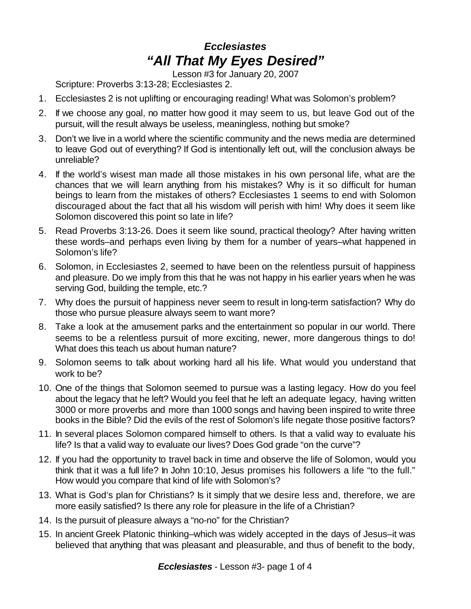## *Ecclesiastes "All That My Eyes Desired"*

Lesson #3 for January 20, 2007

Scripture: Proverbs 3:13-28; Ecclesiastes 2.

- 1. Ecclesiastes 2 is not uplifting or encouraging reading! What was Solomon's problem?
- 2. If we choose any goal, no matter how good it may seem to us, but leave God out of the pursuit, will the result always be useless, meaningless, nothing but smoke?
- 3. Don't we live in a world where the scientific community and the news media are determined to leave God out of everything? If God is intentionally left out, will the conclusion always be unreliable?
- 4. If the world's wisest man made all those mistakes in his own personal life, what are the chances that we will learn anything from his mistakes? Why is it so difficult for human beings to learn from the mistakes of others? Ecclesiastes 1 seems to end with Solomon discouraged about the fact that all his wisdom will perish with him! Why does it seem like Solomon discovered this point so late in life?
- 5. Read Proverbs 3:13-26. Does it seem like sound, practical theology? After having written these words–and perhaps even living by them for a number of years–what happened in Solomon's life?
- 6. Solomon, in Ecclesiastes 2, seemed to have been on the relentless pursuit of happiness and pleasure. Do we imply from this that he was not happy in his earlier years when he was serving God, building the temple, etc.?
- 7. Why does the pursuit of happiness never seem to result in long-term satisfaction? Why do those who pursue pleasure always seem to want more?
- 8. Take a look at the amusement parks and the entertainment so popular in our world. There seems to be a relentless pursuit of more exciting, newer, more dangerous things to do! What does this teach us about human nature?
- 9. Solomon seems to talk about working hard all his life. What would you understand that work to be?
- 10. One of the things that Solomon seemed to pursue was a lasting legacy. How do you feel about the legacy that he left? Would you feel that he left an adequate legacy, having written 3000 or more proverbs and more than 1000 songs and having been inspired to write three books in the Bible? Did the evils of the rest of Solomon's life negate those positive factors?
- 11. In several places Solomon compared himself to others. Is that a valid way to evaluate his life? Is that a valid way to evaluate our lives? Does God grade "on the curve"?
- 12. If you had the opportunity to travel back in time and observe the life of Solomon, would you think that it was a full life? In John 10:10, Jesus promises his followers a life "to the full." How would you compare that kind of life with Solomon's?
- 13. What is God's plan for Christians? Is it simply that we desire less and, therefore, we are more easily satisfied? Is there any role for pleasure in the life of a Christian?
- 14. Is the pursuit of pleasure always a "no-no" for the Christian?
- 15. In ancient Greek Platonic thinking–which was widely accepted in the days of Jesus–it was believed that anything that was pleasant and pleasurable, and thus of benefit to the body,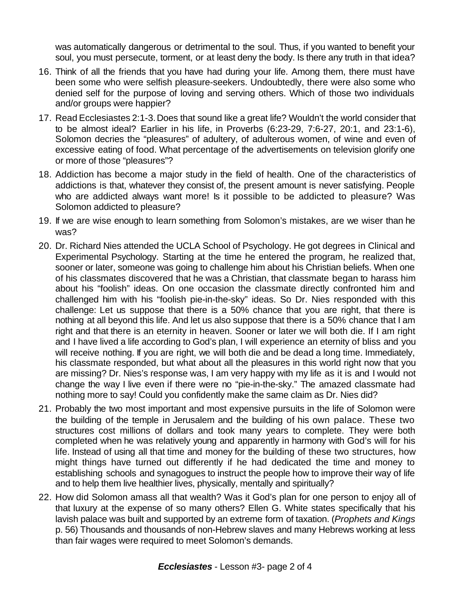was automatically dangerous or detrimental to the soul. Thus, if you wanted to benefit your soul, you must persecute, torment, or at least deny the body. Is there any truth in that idea?

- 16. Think of all the friends that you have had during your life. Among them, there must have been some who were selfish pleasure-seekers. Undoubtedly, there were also some who denied self for the purpose of loving and serving others. Which of those two individuals and/or groups were happier?
- 17. Read Ecclesiastes 2:1-3.Does that sound like a great life? Wouldn't the world consider that to be almost ideal? Earlier in his life, in Proverbs (6:23-29, 7:6-27, 20:1, and 23:1-6), Solomon decries the "pleasures" of adultery, of adulterous women, of wine and even of excessive eating of food. What percentage of the advertisements on television glorify one or more of those "pleasures"?
- 18. Addiction has become a major study in the field of health. One of the characteristics of addictions is that, whatever they consist of, the present amount is never satisfying. People who are addicted always want more! Is it possible to be addicted to pleasure? Was Solomon addicted to pleasure?
- 19. If we are wise enough to learn something from Solomon's mistakes, are we wiser than he was?
- 20. Dr. Richard Nies attended the UCLA School of Psychology. He got degrees in Clinical and Experimental Psychology. Starting at the time he entered the program, he realized that, sooner or later, someone was going to challenge him about his Christian beliefs. When one of his classmates discovered that he was a Christian, that classmate began to harass him about his "foolish" ideas. On one occasion the classmate directly confronted him and challenged him with his "foolish pie-in-the-sky" ideas. So Dr. Nies responded with this challenge: Let us suppose that there is a 50% chance that you are right, that there is nothing at all beyond this life. And let us also suppose that there is a 50% chance that I am right and that there is an eternity in heaven. Sooner or later we will both die. If I am right and I have lived a life according to God's plan, I will experience an eternity of bliss and you will receive nothing. If you are right, we will both die and be dead a long time. Immediately, his classmate responded, but what about all the pleasures in this world right now that you are missing? Dr. Nies's response was, I am very happy with my life as it is and I would not change the way I live even if there were no "pie-in-the-sky." The amazed classmate had nothing more to say! Could you confidently make the same claim as Dr. Nies did?
- 21. Probably the two most important and most expensive pursuits in the life of Solomon were the building of the temple in Jerusalem and the building of his own palace. These two structures cost millions of dollars and took many years to complete. They were both completed when he was relatively young and apparently in harmony with God's will for his life. Instead of using all that time and money for the building of these two structures, how might things have turned out differently if he had dedicated the time and money to establishing schools and synagogues to instruct the people how to improve their way of life and to help them live healthier lives, physically, mentally and spiritually?
- 22. How did Solomon amass all that wealth? Was it God's plan for one person to enjoy all of that luxury at the expense of so many others? Ellen G. White states specifically that his lavish palace was built and supported by an extreme form of taxation. (*Prophets and Kings* p. 56) Thousands and thousands of non-Hebrew slaves and many Hebrews working at less than fair wages were required to meet Solomon's demands.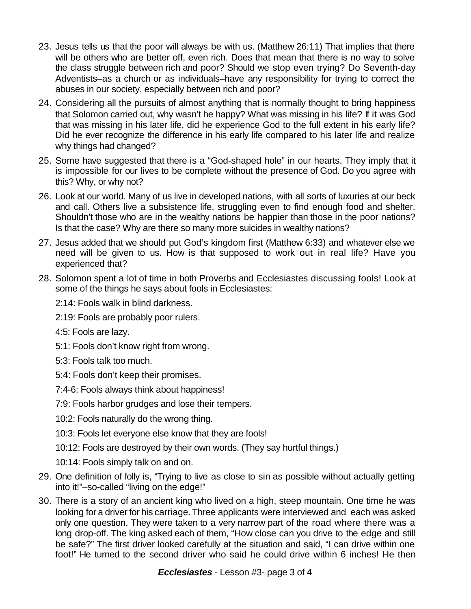- 23. Jesus tells us that the poor will always be with us. (Matthew 26:11) That implies that there will be others who are better off, even rich. Does that mean that there is no way to solve the class struggle between rich and poor? Should we stop even trying? Do Seventh-day Adventists–as a church or as individuals–have any responsibility for trying to correct the abuses in our society, especially between rich and poor?
- 24. Considering all the pursuits of almost anything that is normally thought to bring happiness that Solomon carried out, why wasn't he happy? What was missing in his life? If it was God that was missing in his later life, did he experience God to the full extent in his early life? Did he ever recognize the difference in his early life compared to his later life and realize why things had changed?
- 25. Some have suggested that there is a "God-shaped hole" in our hearts. They imply that it is impossible for our lives to be complete without the presence of God. Do you agree with this? Why, or why not?
- 26. Look at our world. Many of us live in developed nations, with all sorts of luxuries at our beck and call. Others live a subsistence life, struggling even to find enough food and shelter. Shouldn't those who are in the wealthy nations be happier than those in the poor nations? Is that the case? Why are there so many more suicides in wealthy nations?
- 27. Jesus added that we should put God's kingdom first (Matthew 6:33) and whatever else we need will be given to us. How is that supposed to work out in real life? Have you experienced that?
- 28. Solomon spent a lot of time in both Proverbs and Ecclesiastes discussing fools! Look at some of the things he says about fools in Ecclesiastes:

2:14: Fools walk in blind darkness.

- 2:19: Fools are probably poor rulers.
- 4:5: Fools are lazy.
- 5:1: Fools don't know right from wrong.
- 5:3: Fools talk too much.
- 5:4: Fools don't keep their promises.
- 7:4-6: Fools always think about happiness!
- 7:9: Fools harbor grudges and lose their tempers.
- 10:2: Fools naturally do the wrong thing.
- 10:3: Fools let everyone else know that they are fools!
- 10:12: Fools are destroyed by their own words. (They say hurtful things.)

10:14: Fools simply talk on and on.

- 29. One definition of folly is, "Trying to live as close to sin as possible without actually getting into it!"–so-called "living on the edge!"
- 30. There is a story of an ancient king who lived on a high, steep mountain. One time he was looking for a driver for his carriage.Three applicants were interviewed and each was asked only one question. They were taken to a very narrow part of the road where there was a long drop-off. The king asked each of them, "How close can you drive to the edge and still be safe?" The first driver looked carefully at the situation and said, "I can drive within one foot!" He turned to the second driver who said he could drive within 6 inches! He then